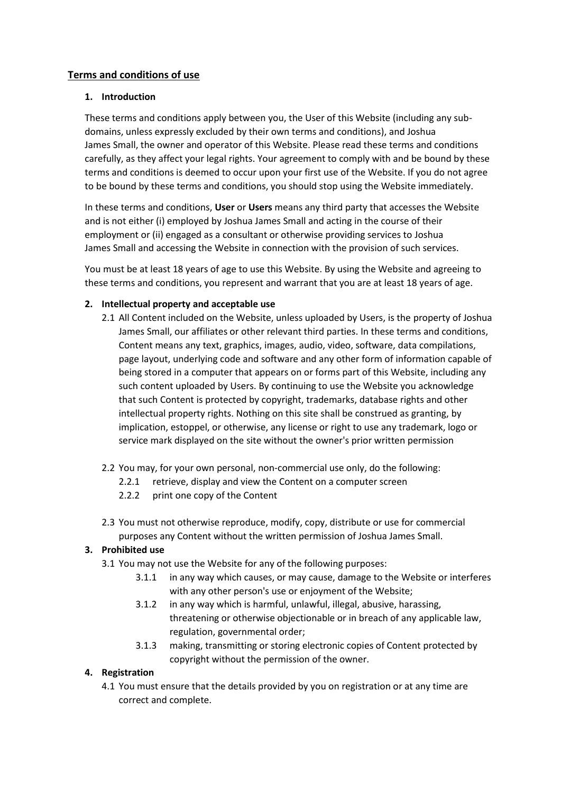# **Terms and conditions of use**

### **1. Introduction**

These terms and conditions apply between you, the User of this Website (including any subdomains, unless expressly excluded by their own terms and conditions), and Joshua James Small, the owner and operator of this Website. Please read these terms and conditions carefully, as they affect your legal rights. Your agreement to comply with and be bound by these terms and conditions is deemed to occur upon your first use of the Website. If you do not agree to be bound by these terms and conditions, you should stop using the Website immediately.

In these terms and conditions, **User** or **Users** means any third party that accesses the Website and is not either (i) employed by Joshua James Small and acting in the course of their employment or (ii) engaged as a consultant or otherwise providing services to Joshua James Small and accessing the Website in connection with the provision of such services.

You must be at least 18 years of age to use this Website. By using the Website and agreeing to these terms and conditions, you represent and warrant that you are at least 18 years of age.

### **2. Intellectual property and acceptable use**

- 2.1 All Content included on the Website, unless uploaded by Users, is the property of Joshua James Small, our affiliates or other relevant third parties. In these terms and conditions, Content means any text, graphics, images, audio, video, software, data compilations, page layout, underlying code and software and any other form of information capable of being stored in a computer that appears on or forms part of this Website, including any such content uploaded by Users. By continuing to use the Website you acknowledge that such Content is protected by copyright, trademarks, database rights and other intellectual property rights. Nothing on this site shall be construed as granting, by implication, estoppel, or otherwise, any license or right to use any trademark, logo or service mark displayed on the site without the owner's prior written permission
- 2.2 You may, for your own personal, non-commercial use only, do the following:
	- 2.2.1 retrieve, display and view the Content on a computer screen
	- 2.2.2 print one copy of the Content
- 2.3 You must not otherwise reproduce, modify, copy, distribute or use for commercial purposes any Content without the written permission of Joshua James Small.

### **3. Prohibited use**

- 3.1 You may not use the Website for any of the following purposes:
	- 3.1.1 in any way which causes, or may cause, damage to the Website or interferes with any other person's use or enjoyment of the Website;
	- 3.1.2 in any way which is harmful, unlawful, illegal, abusive, harassing, threatening or otherwise objectionable or in breach of any applicable law, regulation, governmental order;
	- 3.1.3 making, transmitting or storing electronic copies of Content protected by copyright without the permission of the owner.

### **4. Registration**

4.1 You must ensure that the details provided by you on registration or at any time are correct and complete.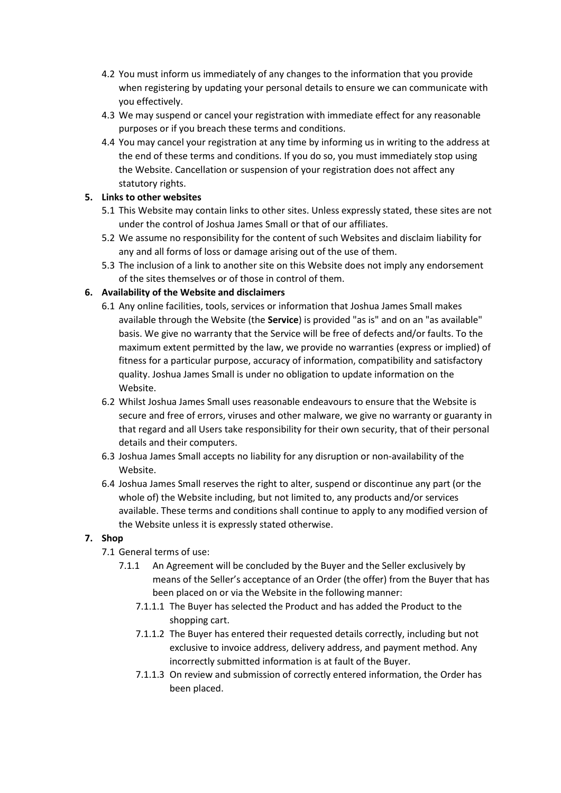- 4.2 You must inform us immediately of any changes to the information that you provide when registering by updating your personal details to ensure we can communicate with you effectively.
- 4.3 We may suspend or cancel your registration with immediate effect for any reasonable purposes or if you breach these terms and conditions.
- 4.4 You may cancel your registration at any time by informing us in writing to the address at the end of these terms and conditions. If you do so, you must immediately stop using the Website. Cancellation or suspension of your registration does not affect any statutory rights.

# **5. Links to other websites**

- 5.1 This Website may contain links to other sites. Unless expressly stated, these sites are not under the control of Joshua James Small or that of our affiliates.
- 5.2 We assume no responsibility for the content of such Websites and disclaim liability for any and all forms of loss or damage arising out of the use of them.
- 5.3 The inclusion of a link to another site on this Website does not imply any endorsement of the sites themselves or of those in control of them.

# **6. Availability of the Website and disclaimers**

- 6.1 Any online facilities, tools, services or information that Joshua James Small makes available through the Website (the **Service**) is provided "as is" and on an "as available" basis. We give no warranty that the Service will be free of defects and/or faults. To the maximum extent permitted by the law, we provide no warranties (express or implied) of fitness for a particular purpose, accuracy of information, compatibility and satisfactory quality. Joshua James Small is under no obligation to update information on the Website.
- 6.2 Whilst Joshua James Small uses reasonable endeavours to ensure that the Website is secure and free of errors, viruses and other malware, we give no warranty or guaranty in that regard and all Users take responsibility for their own security, that of their personal details and their computers.
- 6.3 Joshua James Small accepts no liability for any disruption or non-availability of the Website.
- 6.4 Joshua James Small reserves the right to alter, suspend or discontinue any part (or the whole of) the Website including, but not limited to, any products and/or services available. These terms and conditions shall continue to apply to any modified version of the Website unless it is expressly stated otherwise.

### **7. Shop**

- 7.1 General terms of use:
	- 7.1.1 An Agreement will be concluded by the Buyer and the Seller exclusively by means of the Seller's acceptance of an Order (the offer) from the Buyer that has been placed on or via the Website in the following manner:
		- 7.1.1.1 The Buyer has selected the Product and has added the Product to the shopping cart.
		- 7.1.1.2 The Buyer has entered their requested details correctly, including but not exclusive to invoice address, delivery address, and payment method. Any incorrectly submitted information is at fault of the Buyer.
		- 7.1.1.3 On review and submission of correctly entered information, the Order has been placed.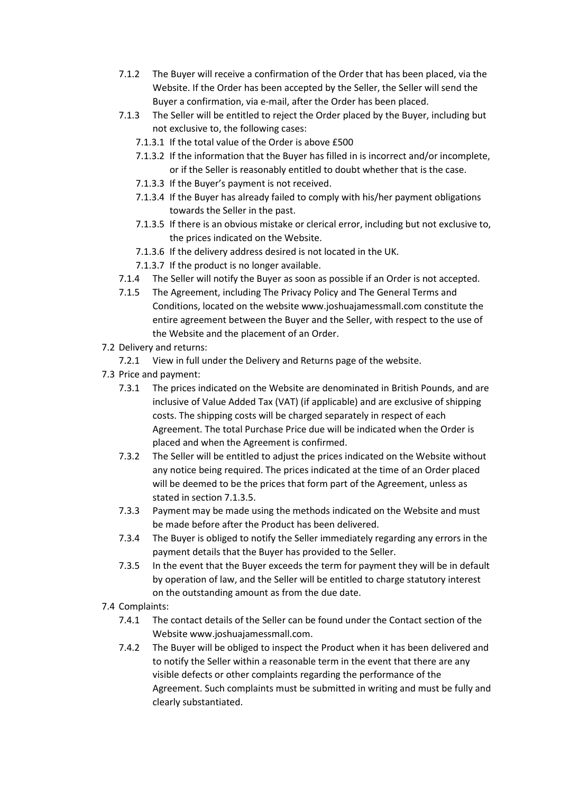- 7.1.2 The Buyer will receive a confirmation of the Order that has been placed, via the Website. If the Order has been accepted by the Seller, the Seller will send the Buyer a confirmation, via e-mail, after the Order has been placed.
- 7.1.3 The Seller will be entitled to reject the Order placed by the Buyer, including but not exclusive to, the following cases:
	- 7.1.3.1 If the total value of the Order is above £500
	- 7.1.3.2 If the information that the Buyer has filled in is incorrect and/or incomplete, or if the Seller is reasonably entitled to doubt whether that is the case.
	- 7.1.3.3 If the Buyer's payment is not received.
	- 7.1.3.4 If the Buyer has already failed to comply with his/her payment obligations towards the Seller in the past.
	- 7.1.3.5 If there is an obvious mistake or clerical error, including but not exclusive to, the prices indicated on the Website.
	- 7.1.3.6 If the delivery address desired is not located in the UK.
	- 7.1.3.7 If the product is no longer available.
- 7.1.4 The Seller will notify the Buyer as soon as possible if an Order is not accepted.
- 7.1.5 The Agreement, including The Privacy Policy and The General Terms and Conditions, located on the website www.joshuajamessmall.com constitute the entire agreement between the Buyer and the Seller, with respect to the use of the Website and the placement of an Order.
- 7.2 Delivery and returns:
- 7.2.1 View in full under the Delivery and Returns page of the website.
- 7.3 Price and payment:
	- 7.3.1 The prices indicated on the Website are denominated in British Pounds, and are inclusive of Value Added Tax (VAT) (if applicable) and are exclusive of shipping costs. The shipping costs will be charged separately in respect of each Agreement. The total Purchase Price due will be indicated when the Order is placed and when the Agreement is confirmed.
	- 7.3.2 The Seller will be entitled to adjust the prices indicated on the Website without any notice being required. The prices indicated at the time of an Order placed will be deemed to be the prices that form part of the Agreement, unless as stated in section 7.1.3.5.
	- 7.3.3 Payment may be made using the methods indicated on the Website and must be made before after the Product has been delivered.
	- 7.3.4 The Buyer is obliged to notify the Seller immediately regarding any errors in the payment details that the Buyer has provided to the Seller.
	- 7.3.5 In the event that the Buyer exceeds the term for payment they will be in default by operation of law, and the Seller will be entitled to charge statutory interest on the outstanding amount as from the due date.
- 7.4 Complaints:
	- 7.4.1 The contact details of the Seller can be found under the Contact section of the Website www.joshuajamessmall.com.
	- 7.4.2 The Buyer will be obliged to inspect the Product when it has been delivered and to notify the Seller within a reasonable term in the event that there are any visible defects or other complaints regarding the performance of the Agreement. Such complaints must be submitted in writing and must be fully and clearly substantiated.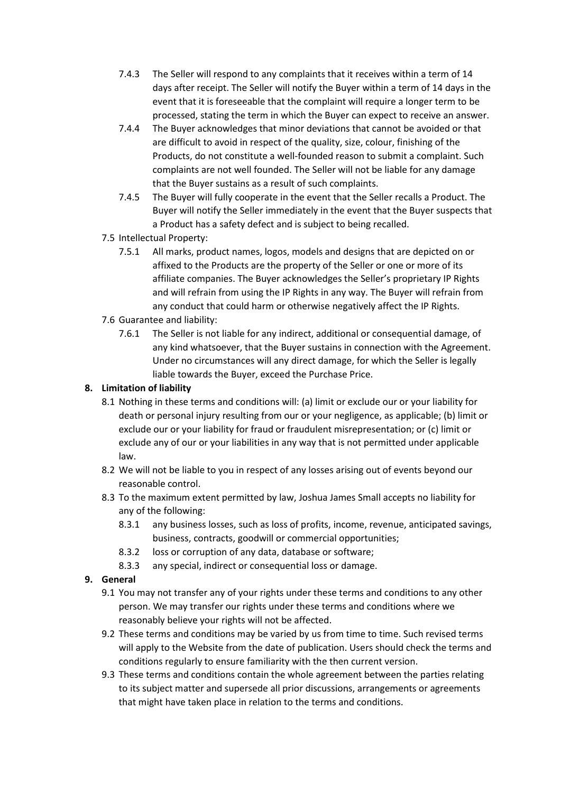- 7.4.3 The Seller will respond to any complaints that it receives within a term of 14 days after receipt. The Seller will notify the Buyer within a term of 14 days in the event that it is foreseeable that the complaint will require a longer term to be processed, stating the term in which the Buyer can expect to receive an answer.
- 7.4.4 The Buyer acknowledges that minor deviations that cannot be avoided or that are difficult to avoid in respect of the quality, size, colour, finishing of the Products, do not constitute a well-founded reason to submit a complaint. Such complaints are not well founded. The Seller will not be liable for any damage that the Buyer sustains as a result of such complaints.
- 7.4.5 The Buyer will fully cooperate in the event that the Seller recalls a Product. The Buyer will notify the Seller immediately in the event that the Buyer suspects that a Product has a safety defect and is subject to being recalled.
- 7.5 Intellectual Property:
	- 7.5.1 All marks, product names, logos, models and designs that are depicted on or affixed to the Products are the property of the Seller or one or more of its affiliate companies. The Buyer acknowledges the Seller's proprietary IP Rights and will refrain from using the IP Rights in any way. The Buyer will refrain from any conduct that could harm or otherwise negatively affect the IP Rights.
- 7.6 Guarantee and liability:
	- 7.6.1 The Seller is not liable for any indirect, additional or consequential damage, of any kind whatsoever, that the Buyer sustains in connection with the Agreement. Under no circumstances will any direct damage, for which the Seller is legally liable towards the Buyer, exceed the Purchase Price.

# **8. Limitation of liability**

- 8.1 Nothing in these terms and conditions will: (a) limit or exclude our or your liability for death or personal injury resulting from our or your negligence, as applicable; (b) limit or exclude our or your liability for fraud or fraudulent misrepresentation; or (c) limit or exclude any of our or your liabilities in any way that is not permitted under applicable law.
- 8.2 We will not be liable to you in respect of any losses arising out of events beyond our reasonable control.
- 8.3 To the maximum extent permitted by law, Joshua James Small accepts no liability for any of the following:
	- 8.3.1 any business losses, such as loss of profits, income, revenue, anticipated savings, business, contracts, goodwill or commercial opportunities;
	- 8.3.2 loss or corruption of any data, database or software;
	- 8.3.3 any special, indirect or consequential loss or damage.
- **9. General**
	- 9.1 You may not transfer any of your rights under these terms and conditions to any other person. We may transfer our rights under these terms and conditions where we reasonably believe your rights will not be affected.
	- 9.2 These terms and conditions may be varied by us from time to time. Such revised terms will apply to the Website from the date of publication. Users should check the terms and conditions regularly to ensure familiarity with the then current version.
	- 9.3 These terms and conditions contain the whole agreement between the parties relating to its subject matter and supersede all prior discussions, arrangements or agreements that might have taken place in relation to the terms and conditions.